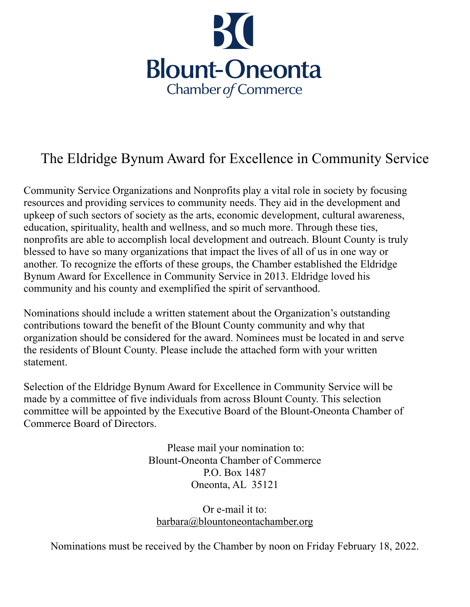

## The Eldridge Bynum Award for Excellence in Community Service

Community Service Organizations and Nonprofits play a vital role in society by focusing resources and providing services to community needs. They aid in the development and upkeep of such sectors of society as the arts, economic development, cultural awareness, education, spirituality, health and wellness, and so much more. Through these ties, nonprofits are able to accomplish local development and outreach. Blount County is truly blessed to have so many organizations that impact the lives of all of us in one way or another. To recognize the efforts of these groups, the Chamber established the Eldridge Bynum Award for Excellence in Community Service in 2013. Eldridge loved his community and his county and exemplified the spirit of servanthood.

Nominations should include a written statement about the Organization's outstanding contributions toward the benefit of the Blount County community and why that organization should be considered for the award. Nominees must be located in and serve the residents of Blount County. Please include the attached form with your written statement.

Selection of the Eldridge Bynum Award for Excellence in Community Service will be made by a committee of five individuals from across Blount County. This selection committee will be appointed by the Executive Board of the Blount-Oneonta Chamber of Commerce Board of Directors.

> Please mail your nomination to: Blount-Oneonta Chamber of Commerce P.O. Box 1487 Oneonta, AL 35121

Or e-mail it to: [barbara@blountoneontachamber.org](mailto:barbara@blountoneontachamber.org)

Nominations must be received by the Chamber by noon on Friday February 18, 2022.